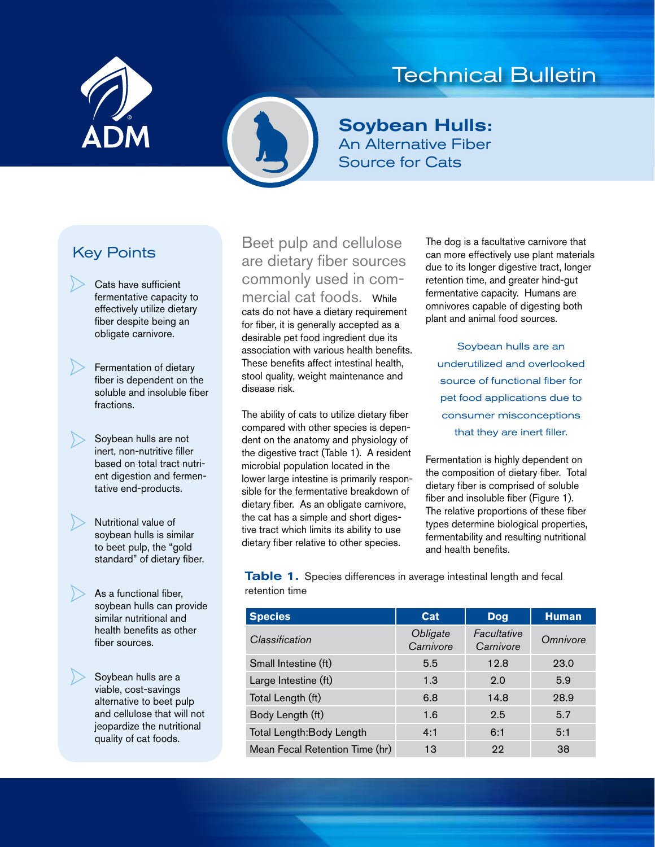

# Technical Bulletin



# Soybean Hulls: An Alternative Fiber Source for Cats

# Key Points

- Cats have sufficient fermentative capacity to effectively utilize dietary fiber despite being an obligate carnivore.
- Fermentation of dietary fiber is dependent on the soluble and insoluble fiber fractions.
- Soybean hulls are not inert, non-nutritive filler based on total tract nutrient digestion and fermentative end-products.
- Nutritional value of soybean hulls is similar to beet pulp, the "gold standard" of dietary fiber.
- As a functional fiber, soybean hulls can provide similar nutritional and health benefits as other fiber sources.
- Soybean hulls are a viable, cost-savings alternative to beet pulp and cellulose that will not jeopardize the nutritional quality of cat foods.

Beet pulp and cellulose are dietary fiber sources commonly used in commercial cat foods. While cats do not have a dietary requirement for fiber, it is generally accepted as a desirable pet food ingredient due its association with various health benefits. These benefits affect intestinal health, stool quality, weight maintenance and disease risk.

The ability of cats to utilize dietary fiber compared with other species is dependent on the anatomy and physiology of the digestive tract (Table 1). A resident microbial population located in the lower large intestine is primarily responsible for the fermentative breakdown of dietary fiber. As an obligate carnivore, the cat has a simple and short digestive tract which limits its ability to use dietary fiber relative to other species.

The dog is a facultative carnivore that can more effectively use plant materials due to its longer digestive tract, longer retention time, and greater hind-gut fermentative capacity. Humans are omnivores capable of digesting both plant and animal food sources.

Soybean hulls are an underutilized and overlooked source of functional fiber for pet food applications due to consumer misconceptions that they are inert filler.

Fermentation is highly dependent on the composition of dietary fiber. Total dietary fiber is comprised of soluble fiber and insoluble fiber (Figure 1). The relative proportions of these fiber types determine biological properties, fermentability and resulting nutritional and health benefits.

Table 1. Species differences in average intestinal length and fecal retention time

| <b>Species</b>                 | Cat                   | <b>Dog</b>               | <b>Human</b> |
|--------------------------------|-----------------------|--------------------------|--------------|
| Classification                 | Obligate<br>Carnivore | Facultative<br>Carnivore | Omnivore     |
| Small Intestine (ft)           | 5.5                   | 12.8                     | 23.0         |
| Large Intestine (ft)           | 1.3                   | 2.0                      | 5.9          |
| Total Length (ft)              | 6.8                   | 14.8                     | 28.9         |
| Body Length (ft)               | 1.6                   | 2.5                      | 5.7          |
| Total Length: Body Length      | 4:1                   | 6:1                      | 5:1          |
| Mean Fecal Retention Time (hr) | 13                    | 22                       | 38           |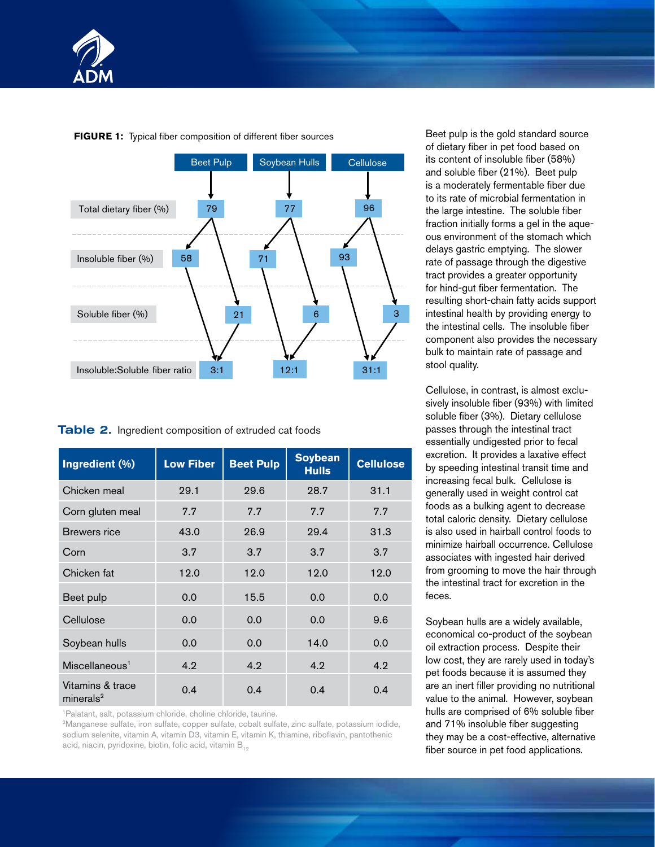



**FIGURE 1:** Typical fiber composition of different fiber sources

# **Table 2.** Ingredient composition of extruded cat foods

| Ingredient (%)                            | <b>Low Fiber</b> | <b>Beet Pulp</b> | <b>Soybean</b><br><b>Hulls</b> | <b>Cellulose</b> |
|-------------------------------------------|------------------|------------------|--------------------------------|------------------|
| Chicken meal                              | 29.1             | 29.6             | 28.7                           | 31.1             |
| Corn gluten meal                          | 7.7              | 7.7              | 7.7                            | 7.7              |
| Brewers rice                              | 43.0             | 26.9             | 29.4                           | 31.3             |
| Corn                                      | 3.7              | 3.7              | 3.7                            | 3.7              |
| Chicken fat                               | 12.0             | 12.0             | 12.0                           | 12.0             |
| Beet pulp                                 | 0.0              | 15.5             | 0.0                            | 0.0              |
| Cellulose                                 | 0.0              | 0.0              | 0.0                            | 9.6              |
| Soybean hulls                             | 0.0              | 0.0              | 14.0                           | 0.0              |
| Miscellaneous <sup>1</sup>                | 4.2              | 4.2              | 4.2                            | 4.2              |
| Vitamins & trace<br>minerals <sup>2</sup> | 0.4              | 0.4              | 0.4                            | 0.4              |

1Palatant, salt, potassium chloride, choline chloride, taurine.

r-alatant, sait, potassium chionue, choline chionue, taunne.<br>?Manganese sulfate, iron sulfate, copper sulfate, cobalt sulfate, zinc sulfate, potassium iodide, manganece sanate, non sanate, copper sanate, coban sanate, and sanate, perassitam locites,<br>sodium selenite, vitamin A, vitamin D3, vitamin E, vitamin K, thiamine, riboflavin, pantothenic  $\frac{1}{2}$  means with different superscripts different superscripts different superscripts different superscripts different superscripts different superscripts different superscripts different superscripts different supers

Beet pulp is the gold standard source of dietary fiber in pet food based on its content of insoluble fiber (58%) and soluble fiber (21%). Beet pulp is a moderately fermentable fiber due to its rate of microbial fermentation in the large intestine. The soluble fiber fraction initially forms a gel in the aqueous environment of the stomach which delays gastric emptying. The slower rate of passage through the digestive tract provides a greater opportunity for hind-gut fiber fermentation. The resulting short-chain fatty acids support intestinal health by providing energy to the intestinal cells. The insoluble fiber component also provides the necessary bulk to maintain rate of passage and stool quality.

Cellulose, in contrast, is almost exclusively insoluble fiber (93%) with limited soluble fiber (3%). Dietary cellulose passes through the intestinal tract essentially undigested prior to fecal excretion. It provides a laxative effect by speeding intestinal transit time and increasing fecal bulk. Cellulose is generally used in weight control cat foods as a bulking agent to decrease total caloric density. Dietary cellulose is also used in hairball control foods to minimize hairball occurrence. Cellulose associates with ingested hair derived from grooming to move the hair through the intestinal tract for excretion in the feces.

Soybean hulls are a widely available, economical co-product of the soybean oil extraction process. Despite their low cost, they are rarely used in today's pet foods because it is assumed they are an inert filler providing no nutritional value to the animal. However, soybean hulls are comprised of 6% soluble fiber and 71% insoluble fiber suggesting they may be a cost-effective, alternative fiber source in pet food applications.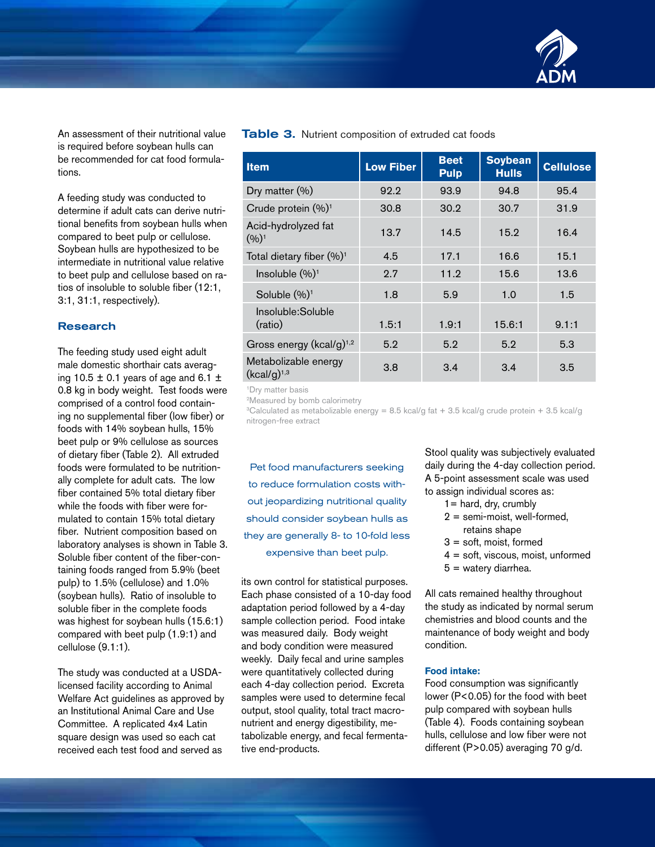

An assessment of their nutritional value is required before soybean hulls can be recommended for cat food formulations.

A feeding study was conducted to determine if adult cats can derive nutritional benefits from soybean hulls when compared to beet pulp or cellulose. Soybean hulls are hypothesized to be intermediate in nutritional value relative to beet pulp and cellulose based on ratios of insoluble to soluble fiber (12:1, 3:1, 31:1, respectively).

### Research

The feeding study used eight adult male domestic shorthair cats averaging 10.5  $\pm$  0.1 years of age and 6.1  $\pm$ 0.8 kg in body weight. Test foods were comprised of a control food containing no supplemental fiber (low fiber) or foods with 14% soybean hulls, 15% beet pulp or 9% cellulose as sources of dietary fiber (Table 2). All extruded foods were formulated to be nutritionally complete for adult cats. The low fiber contained 5% total dietary fiber while the foods with fiber were formulated to contain 15% total dietary fiber. Nutrient composition based on laboratory analyses is shown in Table 3. Soluble fiber content of the fiber-containing foods ranged from 5.9% (beet pulp) to 1.5% (cellulose) and 1.0% (soybean hulls). Ratio of insoluble to soluble fiber in the complete foods was highest for soybean hulls (15.6:1) compared with beet pulp (1.9:1) and cellulose (9.1:1).

The study was conducted at a USDAlicensed facility according to Animal Welfare Act guidelines as approved by an Institutional Animal Care and Use Committee. A replicated 4x4 Latin square design was used so each cat received each test food and served as

#### Table 3. Nutrient composition of extruded cat foods

| <b>Low Fiber</b> | <b>Beet</b><br><b>Pulp</b> | <b>Soybean</b><br><b>Hulls</b> | <b>Cellulose</b> |
|------------------|----------------------------|--------------------------------|------------------|
| 92.2             | 93.9                       | 94.8                           | 95.4             |
| 30.8             | 30.2                       | 30.7                           | 31.9             |
| 13.7             | 14.5                       | 15.2                           | 16.4             |
| 4.5              | 17.1                       | 16.6                           | 15.1             |
| 2.7              | 11.2                       | 15.6                           | 13.6             |
| 1.8              | 5.9                        | 1.0                            | 1.5              |
| 1.5:1            | 1.9:1                      | 15.6:1                         | 9.1:1            |
| 5.2              | 5.2                        | 5.2                            | 5.3              |
| 3.8              | 3.4                        | 3.4                            | 3.5              |
|                  |                            |                                |                  |

1Dry matter basis

<sup>2</sup>Measured by bomb calorimetry

<sup>3</sup>Calculated as metabolizable energy = 8.5 kcal/g fat + 3.5 kcal/g crude protein + 3.5 kcal/g nitrogen-free extract

Pet food manufacturers seeking to reduce formulation costs without jeopardizing nutritional quality should consider soybean hulls as they are generally 8- to 10-fold less expensive than beet pulp.

its own control for statistical purposes. Each phase consisted of a 10-day food adaptation period followed by a 4-day sample collection period. Food intake was measured daily. Body weight and body condition were measured weekly. Daily fecal and urine samples were quantitatively collected during each 4-day collection period. Excreta samples were used to determine fecal output, stool quality, total tract macronutrient and energy digestibility, metabolizable energy, and fecal fermentative end-products.

Stool quality was subjectively evaluated daily during the 4-day collection period. A 5-point assessment scale was used to assign individual scores as:

- $1 =$  hard, dry, crumbly
- 2 = semi-moist, well-formed,
- retains shape
- 3 = soft, moist, formed
- 4 = soft, viscous, moist, unformed
- 5 = watery diarrhea.

All cats remained healthy throughout the study as indicated by normal serum chemistries and blood counts and the maintenance of body weight and body condition.

#### **Food intake:**

Food consumption was significantly lower (P<0.05) for the food with beet pulp compared with soybean hulls (Table 4). Foods containing soybean hulls, cellulose and low fiber were not different (P>0.05) averaging 70 g/d.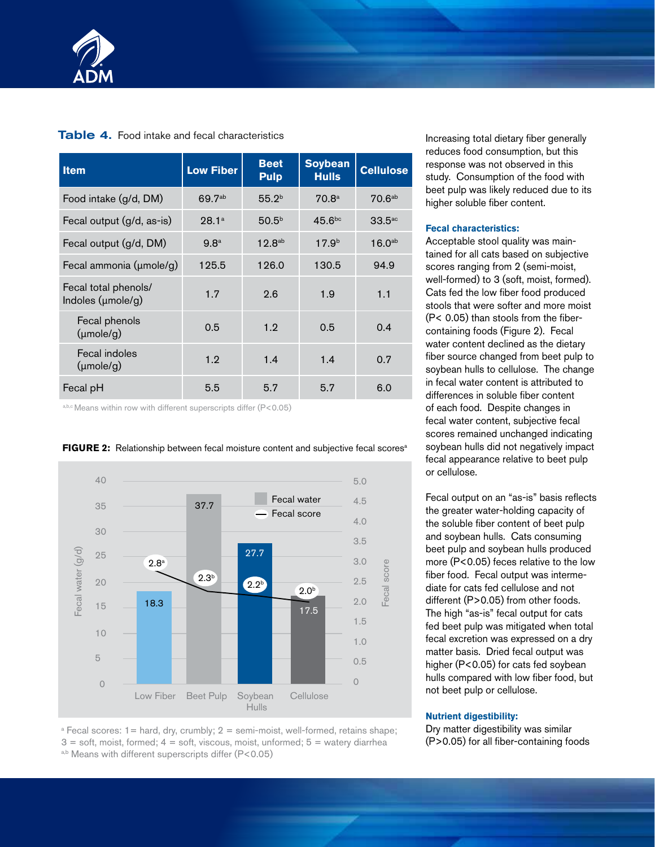

## Table 4. Food intake and fecal characteristics

| <b>Item</b>                               | <b>Beet</b><br>Low Fiber<br><b>Pulp</b>  | <b>Soybean</b><br><b>Hulls</b> | <b>Cellulose</b>   |
|-------------------------------------------|------------------------------------------|--------------------------------|--------------------|
| Food intake (g/d, DM)                     | 69.7 <sup>ab</sup><br>$55.2^{b}$         | 70.8 <sup>a</sup>              | 70.6 <sup>ab</sup> |
| Fecal output (g/d, as-is)                 | 50.5 <sup>b</sup><br>$28.1^a$            | 45.6 <sup>bc</sup>             | $33.5^{\text{ac}}$ |
| Fecal output (g/d, DM)                    | 12.8 <sup>ab</sup><br>$9.8^{\mathrm{a}}$ | 17.9 <sup>b</sup>              | 16.0 <sup>ab</sup> |
| Fecal ammonia (umole/g)                   | 125.5<br>126.0                           | 130.5                          | 94.9               |
| Fecal total phenols/<br>Indoles (umole/g) | 1.7<br>2.6                               | 1.9                            | 1.1                |
| Fecal phenols<br>(mole/g)                 | 0.5<br>1.2                               | 0.5                            | 0.4                |
| Fecal indoles<br>(mole/g)                 | 1.2<br>1.4                               | 1.4                            | 0.7                |
| Fecal pH                                  | 5.7<br>5.5                               | 5.7                            | 6.0                |

a,b,c Means within row with different superscripts differ (P<0.05)



**FIGURE 2:** Relationship between fecal moisture content and subjective fecal scores<sup>a</sup>

 $a$  Fecal scores: 1 = hard, dry, crumbly; 2 = semi-moist, well-formed, retains shape;  $3 =$  soft, moist, formed;  $4 =$  soft, viscous, moist, unformed;  $5 =$  watery diarrhea a,b Means with different superscripts differ (P<0.05)

Increasing total dietary fiber generally reduces food consumption, but this response was not observed in this study. Consumption of the food with beet pulp was likely reduced due to its higher soluble fiber content.

#### **Fecal characteristics:**

Acceptable stool quality was maintained for all cats based on subjective scores ranging from 2 (semi-moist, well-formed) to 3 (soft, moist, formed). Cats fed the low fiber food produced stools that were softer and more moist (P< 0.05) than stools from the fibercontaining foods (Figure 2). Fecal water content declined as the dietary fiber source changed from beet pulp to soybean hulls to cellulose. The change in fecal water content is attributed to differences in soluble fiber content of each food. Despite changes in fecal water content, subjective fecal scores remained unchanged indicating soybean hulls did not negatively impact fecal appearance relative to beet pulp or cellulose.

Fecal output on an "as-is" basis reflects the greater water-holding capacity of the soluble fiber content of beet pulp and soybean hulls. Cats consuming beet pulp and soybean hulls produced more (P<0.05) feces relative to the low fiber food. Fecal output was intermediate for cats fed cellulose and not different (P>0.05) from other foods. The high "as-is" fecal output for cats fed beet pulp was mitigated when total fecal excretion was expressed on a dry matter basis. Dried fecal output was higher (P<0.05) for cats fed soybean hulls compared with low fiber food, but not beet pulp or cellulose.

#### **Nutrient digestibility:**

Dry matter digestibility was similar (P>0.05) for all fiber-containing foods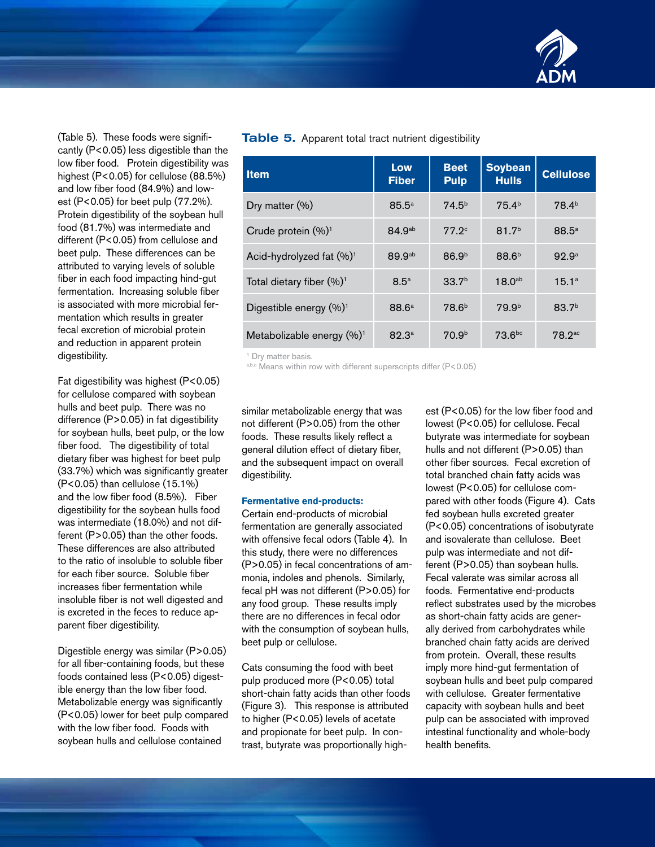

(Table 5). These foods were significantly (P<0.05) less digestible than the low fiber food. Protein digestibility was highest (P<0.05) for cellulose (88.5%) and low fiber food (84.9%) and lowest (P<0.05) for beet pulp (77.2%). Protein digestibility of the soybean hull food (81.7%) was intermediate and different (P<0.05) from cellulose and beet pulp. These differences can be attributed to varying levels of soluble fiber in each food impacting hind-gut fermentation. Increasing soluble fiber is associated with more microbial fermentation which results in greater fecal excretion of microbial protein and reduction in apparent protein digestibility.

Fat digestibility was highest (P<0.05) for cellulose compared with soybean hulls and beet pulp. There was no difference (P>0.05) in fat digestibility for soybean hulls, beet pulp, or the low fiber food. The digestibility of total dietary fiber was highest for beet pulp (33.7%) which was significantly greater (P<0.05) than cellulose (15.1%) and the low fiber food (8.5%). Fiber digestibility for the soybean hulls food was intermediate (18.0%) and not different (P>0.05) than the other foods. These differences are also attributed to the ratio of insoluble to soluble fiber for each fiber source. Soluble fiber increases fiber fermentation while insoluble fiber is not well digested and is excreted in the feces to reduce apparent fiber digestibility.

Digestible energy was similar (P>0.05) for all fiber-containing foods, but these foods contained less (P<0.05) digestible energy than the low fiber food. Metabolizable energy was significantly (P<0.05) lower for beet pulp compared with the low fiber food. Foods with soybean hulls and cellulose contained

| Table 5. Apparent total tract nutrient digestibility |  |  |  |  |  |
|------------------------------------------------------|--|--|--|--|--|
|------------------------------------------------------|--|--|--|--|--|

| <b>Item</b>                          | Low<br><b>Fiber</b> | <b>Beet</b><br><b>Pulp</b> | <b>Soybean</b><br><b>Hulls</b> | <b>Cellulose</b>     |
|--------------------------------------|---------------------|----------------------------|--------------------------------|----------------------|
| Dry matter $(\% )$                   | $85.5^{\circ}$      | $74.5^{b}$                 | 75.4 <sup>b</sup>              | 78.4 <sup>b</sup>    |
| Crude protein (%) <sup>1</sup>       | 84.9 <sup>ab</sup>  | 77.2 <sup>c</sup>          | 81.7 <sup>b</sup>              | $88.5^{\circ}$       |
| Acid-hydrolyzed fat (%) <sup>1</sup> | 89.9a <sup>ab</sup> | 86.9 <sup>b</sup>          | 88.6 <sup>b</sup>              | 92.9 <sup>a</sup>    |
| Total dietary fiber $(\%)^1$         | 8.5 <sup>a</sup>    | 33.7 <sup>b</sup>          | 18.0 <sup>ab</sup>             | 15.1 <sup>a</sup>    |
| Digestible energy (%) <sup>1</sup>   | 88.6 <sup>a</sup>   | 78.6 <sup>b</sup>          | 79.9 <sup>b</sup>              | 83.7 <sup>b</sup>    |
| Metabolizable energy $(\%)^1$        | 82.3 <sup>a</sup>   | 70.9 <sup>b</sup>          | $73.6^{bc}$                    | $78.2$ <sup>ac</sup> |

<sup>1</sup> Dry matter basis.

a,b,c Means within row with different superscripts differ (P<0.05)

similar metabolizable energy that was not different (P>0.05) from the other foods. These results likely reflect a general dilution effect of dietary fiber, and the subsequent impact on overall digestibility.

#### **Fermentative end-products:**

Certain end-products of microbial fermentation are generally associated with offensive fecal odors (Table 4). In this study, there were no differences (P>0.05) in fecal concentrations of ammonia, indoles and phenols. Similarly, fecal pH was not different (P>0.05) for any food group. These results imply there are no differences in fecal odor with the consumption of soybean hulls, beet pulp or cellulose.

Cats consuming the food with beet pulp produced more (P<0.05) total short-chain fatty acids than other foods (Figure 3). This response is attributed to higher (P<0.05) levels of acetate and propionate for beet pulp. In contrast, butyrate was proportionally highest (P<0.05) for the low fiber food and lowest (P<0.05) for cellulose. Fecal butyrate was intermediate for soybean hulls and not different (P>0.05) than other fiber sources. Fecal excretion of total branched chain fatty acids was lowest (P<0.05) for cellulose compared with other foods (Figure 4). Cats fed soybean hulls excreted greater (P<0.05) concentrations of isobutyrate and isovalerate than cellulose. Beet pulp was intermediate and not different (P>0.05) than soybean hulls. Fecal valerate was similar across all foods. Fermentative end-products reflect substrates used by the microbes as short-chain fatty acids are generally derived from carbohydrates while branched chain fatty acids are derived from protein. Overall, these results imply more hind-gut fermentation of soybean hulls and beet pulp compared with cellulose. Greater fermentative capacity with soybean hulls and beet pulp can be associated with improved intestinal functionality and whole-body health benefits.